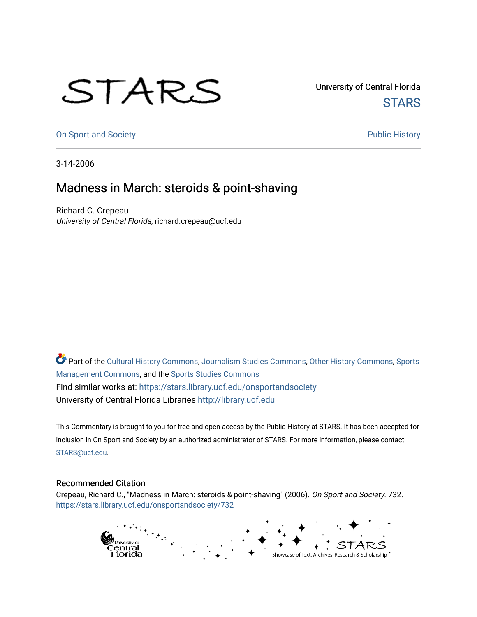## STARS

University of Central Florida **STARS** 

[On Sport and Society](https://stars.library.ucf.edu/onsportandsociety) **Public History** Public History

3-14-2006

## Madness in March: steroids & point-shaving

Richard C. Crepeau University of Central Florida, richard.crepeau@ucf.edu

Part of the [Cultural History Commons](http://network.bepress.com/hgg/discipline/496?utm_source=stars.library.ucf.edu%2Fonsportandsociety%2F732&utm_medium=PDF&utm_campaign=PDFCoverPages), [Journalism Studies Commons,](http://network.bepress.com/hgg/discipline/333?utm_source=stars.library.ucf.edu%2Fonsportandsociety%2F732&utm_medium=PDF&utm_campaign=PDFCoverPages) [Other History Commons,](http://network.bepress.com/hgg/discipline/508?utm_source=stars.library.ucf.edu%2Fonsportandsociety%2F732&utm_medium=PDF&utm_campaign=PDFCoverPages) [Sports](http://network.bepress.com/hgg/discipline/1193?utm_source=stars.library.ucf.edu%2Fonsportandsociety%2F732&utm_medium=PDF&utm_campaign=PDFCoverPages) [Management Commons](http://network.bepress.com/hgg/discipline/1193?utm_source=stars.library.ucf.edu%2Fonsportandsociety%2F732&utm_medium=PDF&utm_campaign=PDFCoverPages), and the [Sports Studies Commons](http://network.bepress.com/hgg/discipline/1198?utm_source=stars.library.ucf.edu%2Fonsportandsociety%2F732&utm_medium=PDF&utm_campaign=PDFCoverPages) Find similar works at: <https://stars.library.ucf.edu/onsportandsociety> University of Central Florida Libraries [http://library.ucf.edu](http://library.ucf.edu/) 

This Commentary is brought to you for free and open access by the Public History at STARS. It has been accepted for inclusion in On Sport and Society by an authorized administrator of STARS. For more information, please contact [STARS@ucf.edu](mailto:STARS@ucf.edu).

## Recommended Citation

Crepeau, Richard C., "Madness in March: steroids & point-shaving" (2006). On Sport and Society. 732. [https://stars.library.ucf.edu/onsportandsociety/732](https://stars.library.ucf.edu/onsportandsociety/732?utm_source=stars.library.ucf.edu%2Fonsportandsociety%2F732&utm_medium=PDF&utm_campaign=PDFCoverPages)

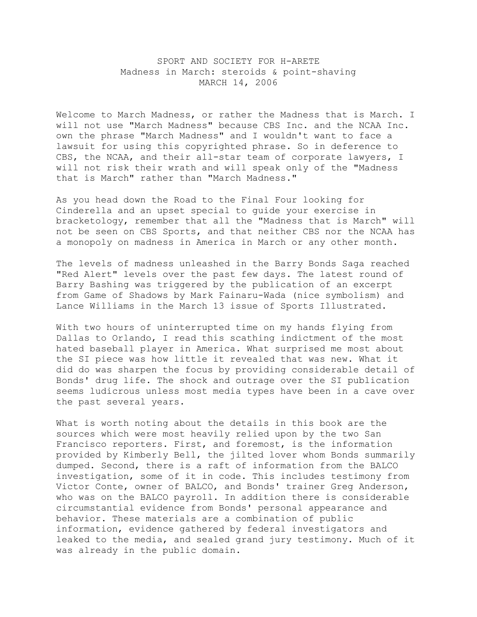## SPORT AND SOCIETY FOR H-ARETE Madness in March: steroids & point-shaving MARCH 14, 2006

Welcome to March Madness, or rather the Madness that is March. I will not use "March Madness" because CBS Inc. and the NCAA Inc. own the phrase "March Madness" and I wouldn't want to face a lawsuit for using this copyrighted phrase. So in deference to CBS, the NCAA, and their all-star team of corporate lawyers, I will not risk their wrath and will speak only of the "Madness that is March" rather than "March Madness."

As you head down the Road to the Final Four looking for Cinderella and an upset special to guide your exercise in bracketology, remember that all the "Madness that is March" will not be seen on CBS Sports, and that neither CBS nor the NCAA has a monopoly on madness in America in March or any other month.

The levels of madness unleashed in the Barry Bonds Saga reached "Red Alert" levels over the past few days. The latest round of Barry Bashing was triggered by the publication of an excerpt from Game of Shadows by Mark Fainaru-Wada (nice symbolism) and Lance Williams in the March 13 issue of Sports Illustrated.

With two hours of uninterrupted time on my hands flying from Dallas to Orlando, I read this scathing indictment of the most hated baseball player in America. What surprised me most about the SI piece was how little it revealed that was new. What it did do was sharpen the focus by providing considerable detail of Bonds' drug life. The shock and outrage over the SI publication seems ludicrous unless most media types have been in a cave over the past several years.

What is worth noting about the details in this book are the sources which were most heavily relied upon by the two San Francisco reporters. First, and foremost, is the information provided by Kimberly Bell, the jilted lover whom Bonds summarily dumped. Second, there is a raft of information from the BALCO investigation, some of it in code. This includes testimony from Victor Conte, owner of BALCO, and Bonds' trainer Greg Anderson, who was on the BALCO payroll. In addition there is considerable circumstantial evidence from Bonds' personal appearance and behavior. These materials are a combination of public information, evidence gathered by federal investigators and leaked to the media, and sealed grand jury testimony. Much of it was already in the public domain.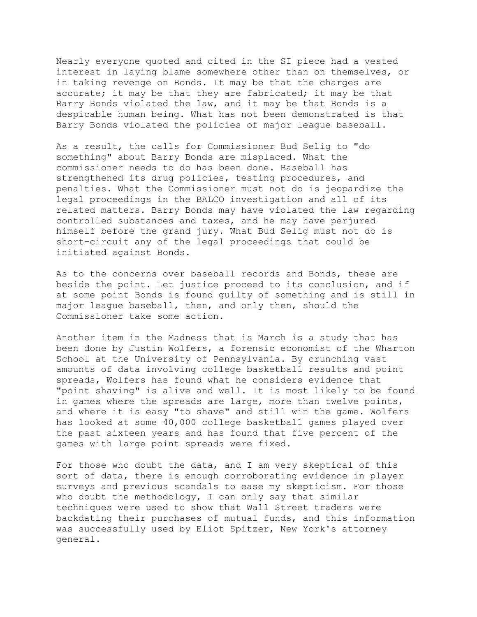Nearly everyone quoted and cited in the SI piece had a vested interest in laying blame somewhere other than on themselves, or in taking revenge on Bonds. It may be that the charges are accurate; it may be that they are fabricated; it may be that Barry Bonds violated the law, and it may be that Bonds is a despicable human being. What has not been demonstrated is that Barry Bonds violated the policies of major league baseball.

As a result, the calls for Commissioner Bud Selig to "do something" about Barry Bonds are misplaced. What the commissioner needs to do has been done. Baseball has strengthened its drug policies, testing procedures, and penalties. What the Commissioner must not do is jeopardize the legal proceedings in the BALCO investigation and all of its related matters. Barry Bonds may have violated the law regarding controlled substances and taxes, and he may have perjured himself before the grand jury. What Bud Selig must not do is short-circuit any of the legal proceedings that could be initiated against Bonds.

As to the concerns over baseball records and Bonds, these are beside the point. Let justice proceed to its conclusion, and if at some point Bonds is found guilty of something and is still in major league baseball, then, and only then, should the Commissioner take some action.

Another item in the Madness that is March is a study that has been done by Justin Wolfers, a forensic economist of the Wharton School at the University of Pennsylvania. By crunching vast amounts of data involving college basketball results and point spreads, Wolfers has found what he considers evidence that "point shaving" is alive and well. It is most likely to be found in games where the spreads are large, more than twelve points, and where it is easy "to shave" and still win the game. Wolfers has looked at some 40,000 college basketball games played over the past sixteen years and has found that five percent of the games with large point spreads were fixed.

For those who doubt the data, and I am very skeptical of this sort of data, there is enough corroborating evidence in player surveys and previous scandals to ease my skepticism. For those who doubt the methodology, I can only say that similar techniques were used to show that Wall Street traders were backdating their purchases of mutual funds, and this information was successfully used by Eliot Spitzer, New York's attorney general.